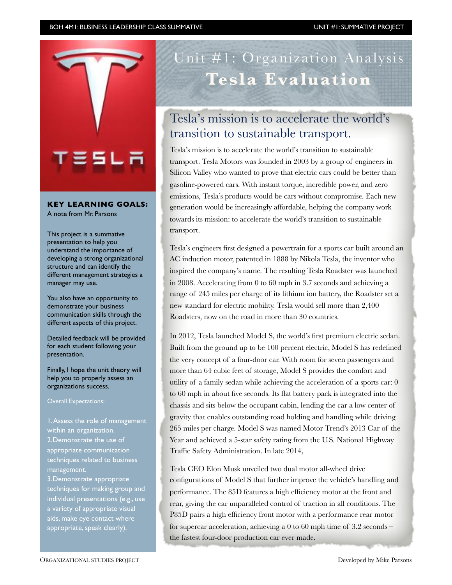

#### **KEY LEARNING GOALS:**

A note from Mr. Parsons

This project is a summative presentation to help you understand the importance of developing a strong organizational structure and can identify the different management strategies a manager may use.

You also have an opportunity to demonstrate your business communication skills through the different aspects of this project.

Detailed feedback will be provided for each student following your presentation.

Finally, I hope the unit theory will help you to properly assess an organizations success.

Overall Expectations:

1. Assess the role of management within an organization. 2.Demonstrate the use of appropriate communication techniques related to business management.

3.Demonstrate appropriate techniques for making group and individual presentations (e.g., use a variety of appropriate visual aids, make eye contact where appropriate, speak clearly).

# Unit #1: Organization Analysis **Tesla Evaluation**

# Tesla's mission is to accelerate the world's transition to sustainable transport.

Tesla's mission is to accelerate the world's transition to sustainable transport. Tesla Motors was founded in 2003 by a group of engineers in Silicon Valley who wanted to prove that electric cars could be better than gasoline-powered cars. With instant torque, incredible power, and zero emissions, Tesla's products would be cars without compromise. Each new generation would be increasingly affordable, helping the company work towards its mission: to accelerate the world's transition to sustainable transport.

Tesla's engineers first designed a powertrain for a sports car built around an AC induction motor, patented in 1888 by Nikola Tesla, the inventor who inspired the company's name. The resulting Tesla Roadster was launched in 2008. Accelerating from 0 to 60 mph in 3.7 seconds and achieving a range of 245 miles per charge of its lithium ion battery, the Roadster set a new standard for electric mobility. Tesla would sell more than 2,400 Roadsters, now on the road in more than 30 countries.

In 2012, Tesla launched Model S, the world's first premium electric sedan. Built from the ground up to be 100 percent electric, Model S has redefined the very concept of a four-door car. With room for seven passengers and more than 64 cubic feet of storage, Model S provides the comfort and utility of a family sedan while achieving the acceleration of a sports car: 0 to 60 mph in about five seconds. Its flat battery pack is integrated into the chassis and sits below the occupant cabin, lending the car a low center of gravity that enables outstanding road holding and handling while driving 265 miles per charge. Model S was named Motor Trend's 2013 Car of the Year and achieved a 5-star safety rating from the U.S. National Highway Traffic Safety Administration. In late 2014,

Tesla CEO Elon Musk unveiled two dual motor all-wheel drive configurations of Model S that further improve the vehicle's handling and performance. The 85D features a high efficiency motor at the front and rear, giving the car unparalleled control of traction in all conditions. The P85D pairs a high efficiency front motor with a performance rear motor for supercar acceleration, achieving a 0 to 60 mph time of 3.2 seconds – the fastest four-door production car ever made.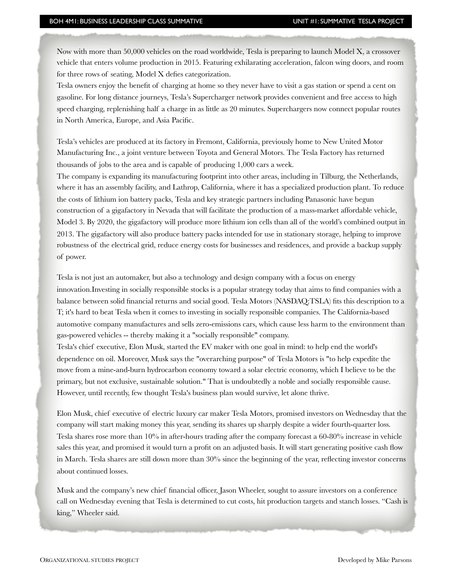Now with more than 50,000 vehicles on the road worldwide, Tesla is preparing to launch Model X, a crossover vehicle that enters volume production in 2015. Featuring exhilarating acceleration, falcon wing doors, and room for three rows of seating, Model X defies categorization.

Tesla owners enjoy the benefit of charging at home so they never have to visit a gas station or spend a cent on gasoline. For long distance journeys, Tesla's Supercharger network provides convenient and free access to high speed charging, replenishing half a charge in as little as 20 minutes. Superchargers now connect popular routes in North America, Europe, and Asia Pacific.

Tesla's vehicles are produced at its factory in Fremont, California, previously home to New United Motor Manufacturing Inc., a joint venture between Toyota and General Motors. The Tesla Factory has returned thousands of jobs to the area and is capable of producing 1,000 cars a week.

The company is expanding its manufacturing footprint into other areas, including in Tilburg, the Netherlands, where it has an assembly facility, and Lathrop, California, where it has a specialized production plant. To reduce the costs of lithium ion battery packs, Tesla and key strategic partners including Panasonic have begun construction of a gigafactory in Nevada that will facilitate the production of a mass-market affordable vehicle, Model 3. By 2020, the gigafactory will produce more lithium ion cells than all of the world's combined output in 2013. The gigafactory will also produce battery packs intended for use in stationary storage, helping to improve robustness of the electrical grid, reduce energy costs for businesses and residences, and provide a backup supply of power.

Tesla is not just an automaker, but also a technology and design company with a focus on energy innovation.Investing in socially responsible stocks is a popular strategy today that aims to find companies with a balance between solid financial returns and social good. Tesla Motors (NASDAQ:TSLA) fits this description to a T; it's hard to beat Tesla when it comes to investing in socially responsible companies. The California-based automotive company manufactures and sells zero-emissions cars, which cause less harm to the environment than gas-powered vehicles -- thereby making it a "socially responsible" company.

Tesla's chief executive, Elon Musk, started the EV maker with one goal in mind: to help end the world's dependence on oil. Moreover, Musk says the "overarching purpose" of Tesla Motors is "to help expedite the move from a mine-and-burn hydrocarbon economy toward a solar electric economy, which I believe to be the primary, but not exclusive, sustainable solution." That is undoubtedly a noble and socially responsible cause. However, until recently, few thought Tesla's business plan would survive, let alone thrive.

Elon Musk, chief executive of electric luxury car maker Tesla Motors, promised investors on Wednesday that the company will start making money this year, sending its shares up sharply despite a wider fourth-quarter loss. Tesla shares rose more than 10% in after-hours trading after the company forecast a 60-80% increase in vehicle sales this year, and promised it would turn a profit on an adjusted basis. It will start generating positive cash flow in March. Tesla shares are still down more than 30% since the beginning of the year, reflecting investor concerns about continued losses.

Musk and the company's new chief financial officer, Jason Wheeler, sought to assure investors on a conference call on Wednesday evening that Tesla is determined to cut costs, hit production targets and stanch losses. "Cash is king," Wheeler said.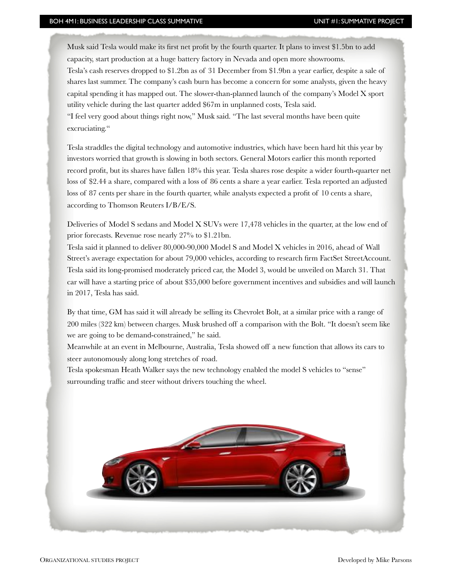Musk said Tesla would make its first net profit by the fourth quarter. It plans to invest \$1.5bn to add capacity, start production at a huge battery factory in Nevada and open more showrooms.

Tesla's cash reserves dropped to \$1.2bn as of 31 December from \$1.9bn a year earlier, despite a sale of shares last summer. The company's cash burn has become a concern for some analysts, given the heavy capital spending it has mapped out. The slower-than-planned launch of the company's Model X sport utility vehicle during the last quarter added \$67m in unplanned costs, Tesla said.

"I feel very good about things right now," Musk said. "The last several months have been quite excruciating."

Tesla straddles the digital technology and automotive industries, which have been hard hit this year by investors worried that growth is slowing in both sectors. General Motors earlier this month reported record profit, but its shares have fallen 18% this year. Tesla shares rose despite a wider fourth-quarter net loss of \$2.44 a share, compared with a loss of 86 cents a share a year earlier. Tesla reported an adjusted loss of 87 cents per share in the fourth quarter, while analysts expected a profit of 10 cents a share, according to Thomson Reuters I/B/E/S.

Deliveries of Model S sedans and Model X SUVs were 17,478 vehicles in the quarter, at the low end of prior forecasts. Revenue rose nearly 27% to \$1.21bn.

Tesla said it planned to deliver 80,000-90,000 Model S and Model X vehicles in 2016, ahead of Wall Street's average expectation for about 79,000 vehicles, according to research firm FactSet StreetAccount. Tesla said its long-promised moderately priced car, the Model 3, would be unveiled on March 31. That car will have a starting price of about \$35,000 before government incentives and subsidies and will launch in 2017, Tesla has said.

By that time, GM has said it will already be selling its Chevrolet Bolt, at a similar price with a range of 200 miles (322 km) between charges. Musk brushed off a comparison with the Bolt. "It doesn't seem like we are going to be demand-constrained," he said.

Meanwhile at an event in Melbourne, Australia, Tesla showed off a new function that allows its cars to steer autonomously along long stretches of road.

Tesla spokesman Heath Walker says the new technology enabled the model S vehicles to "sense" surrounding traffic and steer without drivers touching the wheel.

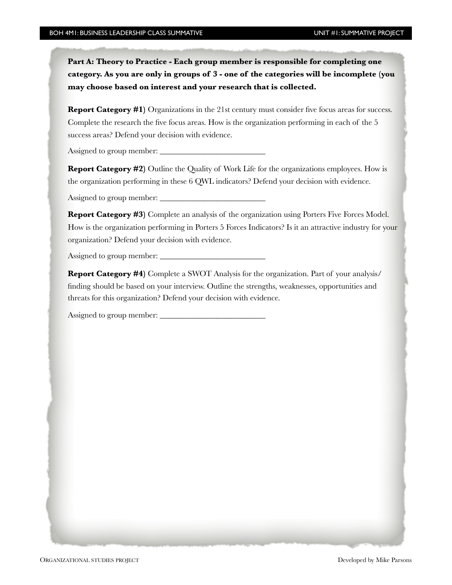**Part A: Theory to Practice - Each group member is responsible for completing one category. As you are only in groups of 3 - one of the categories will be incomplete (you may choose based on interest and your research that is collected.**

**Report Category #1)** Organizations in the 21st century must consider five focus areas for success. Complete the research the five focus areas. How is the organization performing in each of the 5 success areas? Defend your decision with evidence.

Assigned to group member:

**Report Category #2)** Outline the Quality of Work Life for the organizations employees. How is the organization performing in these 6 QWL indicators? Defend your decision with evidence.

Assigned to group member:

**Report Category #3)** Complete an analysis of the organization using Porters Five Forces Model. How is the organization performing in Porters 5 Forces Indicators? Is it an attractive industry for your organization? Defend your decision with evidence.

Assigned to group member:

**Report Category #4)** Complete a SWOT Analysis for the organization. Part of your analysis/ finding should be based on your interview. Outline the strengths, weaknesses, opportunities and threats for this organization? Defend your decision with evidence.

Assigned to group member: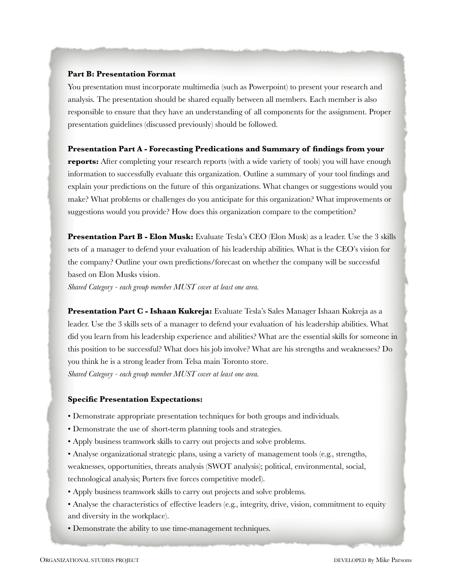#### **Part B: Presentation Format**

You presentation must incorporate multimedia (such as Powerpoint) to present your research and analysis. The presentation should be shared equally between all members. Each member is also responsible to ensure that they have an understanding of all components for the assignment. Proper presentation guidelines (discussed previously) should be followed.

#### **Presentation Part A - Forecasting Predications and Summary of findings from your**

**reports:** After completing your research reports (with a wide variety of tools) you will have enough information to successfully evaluate this organization. Outline a summary of your tool findings and explain your predictions on the future of this organizations. What changes or suggestions would you make? What problems or challenges do you anticipate for this organization? What improvements or suggestions would you provide? How does this organization compare to the competition?

**Presentation Part B - Elon Musk:** Evaluate Tesla's CEO (Elon Musk) as a leader. Use the 3 skills sets of a manager to defend your evaluation of his leadership abilities. What is the CEO's vision for the company? Outline your own predictions/forecast on whether the company will be successful based on Elon Musks vision.

*Shared Category - each group member MUST cover at least one area.*

**Presentation Part C - Ishaan Kukreja:** Evaluate Tesla's Sales Manager Ishaan Kukreja as a leader. Use the 3 skills sets of a manager to defend your evaluation of his leadership abilities. What did you learn from his leadership experience and abilities? What are the essential skills for someone in this position to be successful? What does his job involve? What are his strengths and weaknesses? Do you think he is a strong leader from Telsa main Toronto store. *Shared Category - each group member MUST cover at least one area.* 

#### **Specific Presentation Expectations:**

- Demonstrate appropriate presentation techniques for both groups and individuals.
- Demonstrate the use of short-term planning tools and strategies.
- Apply business teamwork skills to carry out projects and solve problems.
- Analyse organizational strategic plans, using a variety of management tools (e.g., strengths, weaknesses, opportunities, threats analysis (SWOT analysis); political, environmental, social, technological analysis; Porters five forces competitive model).
- Apply business teamwork skills to carry out projects and solve problems.
- Analyse the characteristics of effective leaders (e.g., integrity, drive, vision, commitment to equity and diversity in the workplace).
- Demonstrate the ability to use time-management techniques.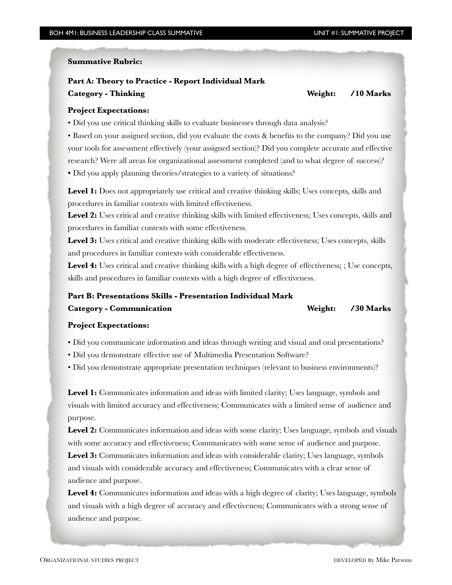#### **Summative Rubric:**

## **Part A: Theory to Practice - Report Individual Mark**

**Category - Thinking Weight: /10 Marks** 

#### **Project Expectations:**

• Did you use critical thinking skills to evaluate businesses through data analysis?

• Based on your assigned section, did you evaluate the costs & benefits to the company? Did you use your tools for assessment effectively (your assigned section)? Did you complete accurate and effective research? Were all areas for organizational assessment completed (and to what degree of success)? • Did you apply planning theories/strategies to a variety of situations?

Level 1: Does not appropriately use critical and creative thinking skills; Uses concepts, skills and procedures in familiar contexts with limited effectiveness.

Level 2: Uses critical and creative thinking skills with limited effectiveness; Uses concepts, skills and procedures in familiar contexts with some effectiveness.

Level 3: Uses critical and creative thinking skills with moderate effectiveness; Uses concepts, skills and procedures in familiar contexts with considerable effectiveness.

Level 4: Uses critical and creative thinking skills with a high degree of effectiveness; ; Use concepts, skills and procedures in familiar contexts with a high degree of effectiveness.

### **Part B: Presentations Skills - Presentation Individual Mark**

| <b>Category - Communication</b> | Weight: /30 Marks |
|---------------------------------|-------------------|
|                                 |                   |

#### **Project Expectations:**

• Did you communicate information and ideas through writing and visual and oral presentations?

• Did you demonstrate effective use of Multimedia Presentation Software?

• Did you demonstrate appropriate presentation techniques (relevant to business environments)?

Level 1: Communicates information and ideas with limited clarity; Uses language, symbols and visuals with limited accuracy and effectiveness; Communicates with a limited sense of audience and purpose.

Level 2: Communicates information and ideas with some clarity; Uses language, symbols and visuals with some accuracy and effectiveness; Communicates with some sense of audience and purpose.

Level 3: Communicates information and ideas with considerable clarity; Uses language, symbols and visuals with considerable accuracy and effectiveness; Communicates with a clear sense of audience and purpose.

**Level 4:** Communicates information and ideas with a high degree of clarity; Uses language, symbols and visuals with a high degree of accuracy and effectiveness; Communicates with a strong sense of audience and purpose.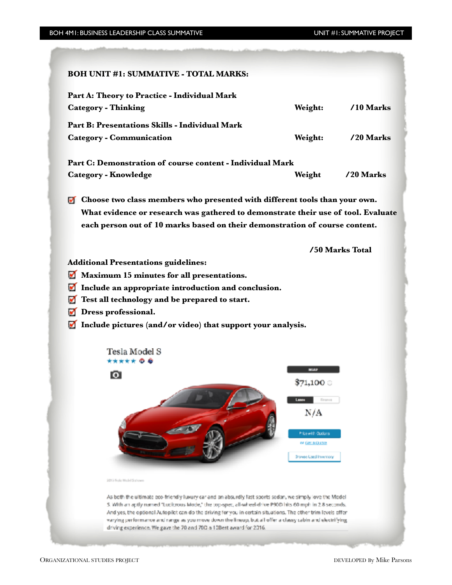| <b>BOH UNIT #1: SUMMATIVE - TOTAL MARKS:</b>                                                                                                                                                                                                                                                                                                                                                                                                                                                                             |                                                                                                         |                 |  |
|--------------------------------------------------------------------------------------------------------------------------------------------------------------------------------------------------------------------------------------------------------------------------------------------------------------------------------------------------------------------------------------------------------------------------------------------------------------------------------------------------------------------------|---------------------------------------------------------------------------------------------------------|-----------------|--|
| Part A: Theory to Practice - Individual Mark<br><b>Category - Thinking</b>                                                                                                                                                                                                                                                                                                                                                                                                                                               | Weight:                                                                                                 | $/10$ Marks     |  |
| Part B: Presentations Skills - Individual Mark<br><b>Category - Communication</b>                                                                                                                                                                                                                                                                                                                                                                                                                                        | Weight:                                                                                                 | /20 Marks       |  |
| Part C: Demonstration of course content - Individual Mark<br><b>Category - Knowledge</b>                                                                                                                                                                                                                                                                                                                                                                                                                                 | Weight                                                                                                  | /20 Marks       |  |
| $\blacksquare$ Choose two class members who presented with different tools than your own.<br>What evidence or research was gathered to demonstrate their use of tool. Evaluate<br>each person out of 10 marks based on their demonstration of course content.                                                                                                                                                                                                                                                            |                                                                                                         |                 |  |
|                                                                                                                                                                                                                                                                                                                                                                                                                                                                                                                          |                                                                                                         | /50 Marks Total |  |
| <b>Additional Presentations guidelines:</b><br>Maximum 15 minutes for all presentations.<br>v<br>Include an appropriate introduction and conclusion.<br>M<br>Test all technology and be prepared to start.<br>Dress professional.<br>w<br>Include pictures (and/or video) that support your analysis.                                                                                                                                                                                                                    |                                                                                                         |                 |  |
| Tesla Model S<br>***** © <b>©</b>                                                                                                                                                                                                                                                                                                                                                                                                                                                                                        |                                                                                                         |                 |  |
| $\bullet$                                                                                                                                                                                                                                                                                                                                                                                                                                                                                                                | MSKP<br>371,100 O                                                                                       |                 |  |
|                                                                                                                                                                                                                                                                                                                                                                                                                                                                                                                          | Lxxe+<br>Finance<br>N/A<br><b>Pilcewith Options</b><br>or Ger a Quince<br><b>Browse Lised Inventory</b> |                 |  |
| 2013 Fissia Model Sishown                                                                                                                                                                                                                                                                                                                                                                                                                                                                                                |                                                                                                         |                 |  |
| As both the ultimate eco-friendly luxury car and an absurdly fast sports sedan, we simply love the Model<br>S. With an aptly named "Lucitzous Mode," the top-spec, all-wheel-drive P90D hits 60 mph in 2.8 seconds.<br>And yes, the optional Autopilot can do the driving for you in certain situations. The other trim levels offer<br>varying performance and range as you move down the lineup, but all offer a classy cabin and electrifying.<br>driving experience. We gave the 70 and 700 a 10Best award for 2016. |                                                                                                         |                 |  |
|                                                                                                                                                                                                                                                                                                                                                                                                                                                                                                                          |                                                                                                         |                 |  |